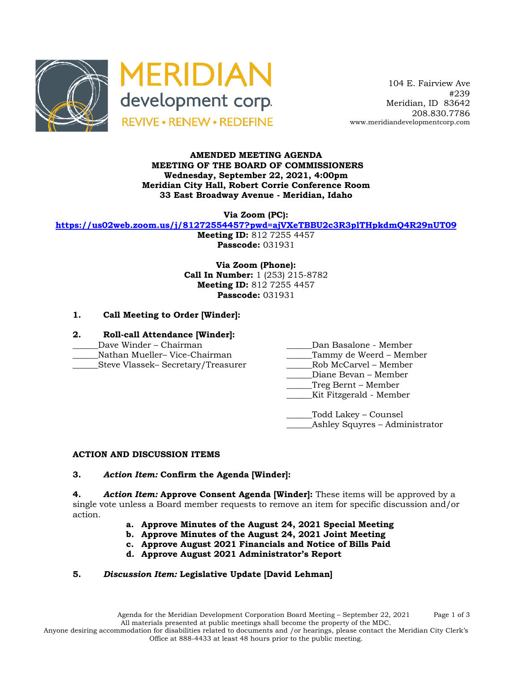



 104 E. Fairview Ave #239 Meridian, ID 83642 208.830.7786 www.meridiandevelopmentcorp.com

#### **AMENDED MEETING AGENDA MEETING OF THE BOARD OF COMMISSIONERS Wednesday, September 22, 2021, 4:00pm Meridian City Hall, Robert Corrie Conference Room 33 East Broadway Avenue - Meridian, Idaho**

**Via Zoom (PC):**

**https://us02web.zoom.us/j/81272554457?pwd=ajVXeTBBU2c3R3plTHpkdmQ4R29nUT09**

**Meeting ID:** 812 7255 4457 **Passcode:** 031931

**Via Zoom (Phone): Call In Number:** 1 (253) 215-8782 **Meeting ID:** 812 7255 4457 **Passcode:** 031931

### **1. Call Meeting to Order [Winder]:**

### **2. Roll-call Attendance [Winder]:**

- 
- 
- \_\_\_\_\_\_Steve Vlassek– Secretary/Treasurer \_\_\_\_\_\_Rob McCarvel Member
- Dave Winder Chairman and all the State Chairman Dan Basalone Member
- \_\_\_\_\_\_Nathan Mueller– Vice-Chairman \_\_\_\_\_\_Tammy de Weerd Member
	-
	- Diane Bevan Member
	- \_\_\_\_\_\_Treg Bernt Member
	- \_\_\_\_\_\_Kit Fitzgerald Member

\_\_\_\_\_\_Todd Lakey – Counsel \_Ashley Squyres – Administrator

## **ACTION AND DISCUSSION ITEMS**

## **3.** *Action Item:* **Confirm the Agenda [Winder]:**

**4.** *Action Item:* **Approve Consent Agenda [Winder]:** These items will be approved by a single vote unless a Board member requests to remove an item for specific discussion and/or action.

- **a. Approve Minutes of the August 24, 2021 Special Meeting**
- **b. Approve Minutes of the August 24, 2021 Joint Meeting**
- **c. Approve August 2021 Financials and Notice of Bills Paid**
- **d. Approve August 2021 Administrator's Report**

# **5.** *Discussion Item:* **Legislative Update [David Lehman]**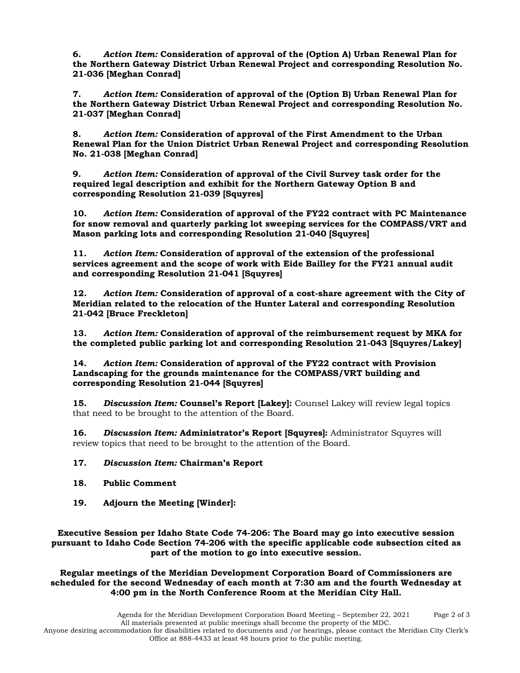**6.** *Action Item:* **Consideration of approval of the (Option A) Urban Renewal Plan for the Northern Gateway District Urban Renewal Project and corresponding Resolution No. 21-036 [Meghan Conrad]**

**7.** *Action Item:* **Consideration of approval of the (Option B) Urban Renewal Plan for the Northern Gateway District Urban Renewal Project and corresponding Resolution No. 21-037 [Meghan Conrad]**

**8.** *Action Item:* **Consideration of approval of the First Amendment to the Urban Renewal Plan for the Union District Urban Renewal Project and corresponding Resolution No. 21-038 [Meghan Conrad]**

**9.** *Action Item:* **Consideration of approval of the Civil Survey task order for the required legal description and exhibit for the Northern Gateway Option B and corresponding Resolution 21-039 [Squyres]**

**10.** *Action Item:* **Consideration of approval of the FY22 contract with PC Maintenance for snow removal and quarterly parking lot sweeping services for the COMPASS/VRT and Mason parking lots and corresponding Resolution 21-040 [Squyres]**

**11.** *Action Item:* **Consideration of approval of the extension of the professional services agreement and the scope of work with Eide Bailley for the FY21 annual audit and corresponding Resolution 21-041 [Squyres]**

**12.** *Action Item:* **Consideration of approval of a cost-share agreement with the City of Meridian related to the relocation of the Hunter Lateral and corresponding Resolution 21-042 [Bruce Freckleton]**

**13.** *Action Item:* **Consideration of approval of the reimbursement request by MKA for the completed public parking lot and corresponding Resolution 21-043 [Squyres/Lakey]**

**14.** *Action Item:* **Consideration of approval of the FY22 contract with Provision Landscaping for the grounds maintenance for the COMPASS/VRT building and corresponding Resolution 21-044 [Squyres]**

**15.** *Discussion Item:* **Counsel's Report [Lakey]:** Counsel Lakey will review legal topics that need to be brought to the attention of the Board.

**16.** *Discussion Item:* **Administrator's Report [Squyres]:** Administrator Squyres will review topics that need to be brought to the attention of the Board.

#### **17.** *Discussion Item:* **Chairman's Report**

- **18. Public Comment**
- **19. Adjourn the Meeting [Winder]:**

**Executive Session per Idaho State Code 74-206: The Board may go into executive session pursuant to Idaho Code Section 74-206 with the specific applicable code subsection cited as part of the motion to go into executive session.**

**Regular meetings of the Meridian Development Corporation Board of Commissioners are scheduled for the second Wednesday of each month at 7:30 am and the fourth Wednesday at 4:00 pm in the North Conference Room at the Meridian City Hall.**